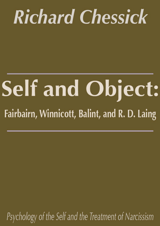# **Richard Chessick**

# **Self and Object:** Fairbairn, Winnicott, Balint, and R. D. Laing

Psychology of the Self and the Treatment of Narcissism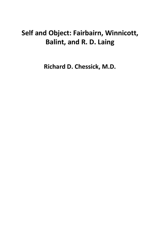## **Self and Object: Fairbairn, Winnicott, Balint, and R. D. Laing**

**Richard D. Chessick, M.D.**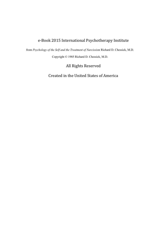#### e-Book 2015 International Psychotherapy Institute

from *Psychology of the Self and the Treatment of Narcissism* Richard D. Chessick, M.D. Copyright © 1985 Richard D. Chessick, M.D.

All Rights Reserved

Created in the United States of America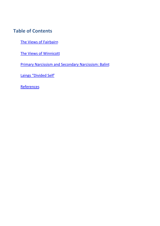### **Table of Contents**

The Views of Fairbairn

The Views of Winnicott

Primary Narcissism and Secondary Narcissism: Balint

Laings "Divided Self'

**References**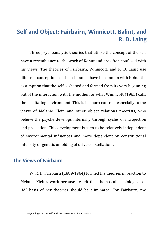### **Self and Object: Fairbairn, Winnicott, Balint, and R. D. Laing**

Three psychoanalytic theories that utilize the concept of the self have a resemblance to the work of Kohut and are often confused with his views. The theories of Fairbairn, Winnicott, and R. D. Laing use different conceptions of the self but all have in common with Kohut the assumption that the self is shaped and formed from its very beginning out of the interaction with the mother, or what Winnicott (1965) calls the facilitating environment. This is in sharp contrast especially to the views of Melanie Klein and other object relations theorists, who believe the psyche develops internally through cycles of introjection and projection. This development is seen to be relatively independent of environmental influences and more dependent on constitutional intensity or genetic unfolding of drive constellations.

#### **The Views of Fairbairn**

W. R. D. Fairbairn (1889-1964) formed his theories in reaction to Melanie Klein's work because he felt that the so-called biological or "id" hasis of her theories should be eliminated. For Fairbairn, the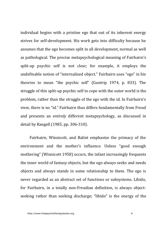individual begins with a pristine ego that out of its inherent energy strives for self-development. His work gets into difficulty because he assumes that the ego becomes split in all development, normal as well as pathological. The precise metapsychological meaning of Fairbairn's split-up psychic self is not clear; for example, it employs the undefinable notion of "internalized object." Fairbairn uses "ego" in his theories to mean "the psychic self" (Guntrip 1974, p. 833). The struggle of this split-up psychic self to cope with the outer world is the problem, rather than the struggle of the ego with the id. In Fairbairn's view, there is no "id." Fairbairn thus differs fundamentally from Freud and presents an *entirely* different metapsychology, as discussed in detail by Rangell (1985, pp. 306-310).

Fairbairn, Winnicott, and Balint emphasize the primacy of the environment and the mother's influence. Unless "good enough mothering" (Winnicott 1958) occurs, the infant increasingly frequents the inner world of fantasy objects, but the ego always seeks and needs objects and always stands in some relationship to them. The ego is never regarded as an abstract set of functions or subsystems. Libido, for Fairbairn, in a totally non-Freudian definition, is always objectseeking rather than seeking discharge; "libido" is the energy of the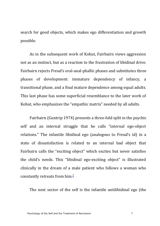search for good objects, which makes ego differentiation and growth possible.

As in the subsequent work of Kohut, Fairbairn views aggression not as an instinct, but as a reaction to the frustration of libidinal drive. Fairbairn rejects Freud's oral-anal-phallic phases and substitutes three phases of development: immature dependency of infancy, a transitional phase, and a final mature dependence among equal adults. This last phase has some superficial resemblance to the later work of Kohut, who [em](#page-29-0)phasizes the "empathic matrix" needed by all adults.

Fairbairn (Guntrip 1974) presents a three-fold split in the psychic self and an internal struggle that he calls "internal ego-object relations." The infantile libidinal ego (analogous to Freud's id) in a state of dissatisfaction is related to an internal bad object that Fairbairn calls the "exciting object" which excites but never satisfies the child's needs. This "libidinal ego-exciting object" is illustrated clinically in the dream of a male patient who follows a woman who constantly retreats from  $him.1$ 

The next sector of the self is the infantile antilibidinal ego (the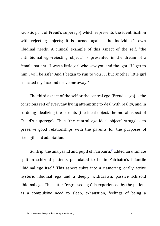sadistic part of Freud's superego) which represents the identification with rejecting objects; it is turned against the individual's own libidinal needs. A clinical example of this aspect of the self, "the antilibidinal ego-rejecting object," is presented in the dream of a female patient: "I was a little girl who saw you and thought 'If I get to him I will be safe.' And I began to run to you  $\dots$  b[ut](#page-29-1) another little girl smacked my face and drove me away."

The third aspect of the self or the central ego (Freud's ego) is the conscious self of everyday living attempting to deal with reality, and in so doing idealizing the parents (the ideal object, the moral aspect of Freud's superego). Thus "the central ego-ideal object" struggles to preserve good relationships with the parents for the purposes of strength and adaptation.

Guntrip, the analysand and pupil of Fairbairn, $\frac{2}{3}$  added an ultimate split in schizoid patients postulated to be in Fairbairn's infantile libidinal ego itself. This aspect splits into a clamoring, orally active hysteric libidinal ego and a deeply withdrawn, passive schizoid libidinal ego. This latter "regressed ego" is experienced by the patient as a compulsive need to sleep, exhaustion, feelings of being a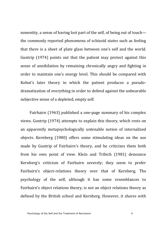nonentity, a sense of having lost part of the self, of being out of touch the commonly reported phenomena of schizoid states such as feeling that there is a sheet of plate glass between one's self and the world. Guntrip  $(1974)$  points out that the patient may protect against this sense of annihilation by remaining chronically angry and fighting in order to maintain one's energy level. This should be compared with Kohut's later theory in which the patient produces a pseudodramatization of everything in order to defend against the unbearable subjective sense of a depleted, empty self.

Fairbairn (1963) published a one-page summary of his complex views. Guntrip (1974) attempts to explain this theory, which rests on an apparently metapsychologically untenable notion of internalized objects. Kernberg (1980) offers some stimulating ideas on the use made by Guntrip of Fairbairn's theory, and he criticizes them both from his own point of view. Klein and Tribich (1981) denounce Kernberg's criticism of Fairbairn severely; they seem to prefer Fairbairn's object-relations theory over that of Kernberg. The psychology of the self, although it has some resemblances to Fairbairn's object relations theory, is not an object relations theory as defined by the British school and Kernberg. However, it shares with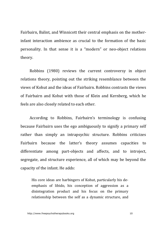Fairbairn, Balint, and Winnicott their central emphasis on the mother $inf$  infant interaction ambience as crucial to the formation of the basic personality. In that sense it is a "modern" or neo-object relations theory.

Robbins (1980) reviews the current controversy in object relations theory, pointing out the striking resemblance between the views of Kohut and the ideas of Fairbairn. Robbins contrasts the views of Fairbairn and Kohut with those of Klein and Kernberg, which he feels are also closely related to each other.

According to Robbins, Fairbairn's terminology is confusing because Fairbairn uses the ego ambiguously to signify a primary self rather than simply an intrapsychic structure. Robbins criticizes Fairbairn because the latter's theory assumes capacities to differentiate among part-objects and affects, and to introject, segregate, and structure experience, all of which may be beyond the capacity of the infant. He adds:

His core ideas are harbingers of Kohut, particularly his deemphasis of libido, his conception of aggression as a disintegration product and his focus on the primary relationship between the self as a dynamic structure, and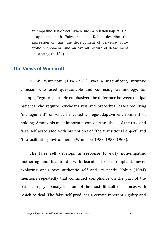an empathic self-object. When such a relationship fails or disappoints, both Fairbairn and Kohut describe the expression of rage, the development of perverse, autoerotic phenomena, and an overall picture of detachment and apathy,  $(p. 484)$ 

#### **The Views of Winnicott**

D. W. Winnicott (1896-1971) was a magnificent, intuitive clinician who used questionable and confusing terminology, for example, "ego-orgasm." He emphasized the difference between oedipal patients who require psychoanalysis and preoedipal cases requiring "management" or what he called an ego-adaptive environment of holding. Among his most important concepts are those of the true and false self associated with his notions of "the transitional object" and "the facilitating environment" (Winnicott 1953, 1958, 1965).

The false self develops in response to early non-empathic mothering and has to do with learning to be compliant, never exploring one's own authentic self and its needs. Kohut (1984) mentions repeatedly that continued compliance on the part of the patient in psychoanalysis is one of the most difficult resistances with which to deal. The false self produces a certain inherent rigidity and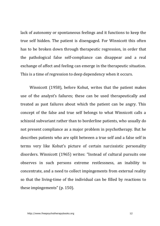lack of autonomy or spontaneous feelings and it functions to keep the true self hidden. The patient is disengaged. For Winnicott this often has to be broken down through therapeutic regression, in order that the pathological false self-compliance can disappear and a real exchange of affect and feeling can emerge in the therapeutic situation. This is a time of regression to deep dependency when it occurs.

Winnicott (1958), before Kohut, writes that the patient makes use of the analyst's failures; these can be used therapeutically and treated as past failures about which the patient can be angry. This concept of the false and true self belongs to what Winnicott calls a schizoid subvariant rather than to borderline patients, who usually do not present compliance as a major problem in psychotherapy. But he describes patients who are split between a true self and a false self in terms very like Kohut's picture of certain narcissistic personality disorders. Winnicott (1965) writes: "Instead of cultural pursuits one observes in such persons extreme restlessness, an inability to concentrate, and a need to collect impingements from external reality so that the living-time of the individual can be filled by reactions to these impingements" (p. 150).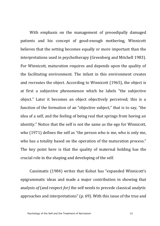With emphasis on the management of preoedipally damaged patients and his concept of good-enough mothering, Winnicott believes that the setting becomes equally or more important than the interpretations used in psychotherapy (Greenberg and Mitchell 1983). For Winnicott, maturation requires and depends upon the quality of the facilitating environment. The infant in this environment creates and recreates the object. According to Winnicott (1965), the object is at first a subjective phenomenon which he labels "the subjective object." Later it becomes an object objectively perceived; this is a function of the formation of an "objective subject," that is to say, "the idea of a self, and the feeling of being real that springs from having an identity." Notice that the self is not the same as the ego for Winnicott, who  $(1971)$  defines the self as "the person who is me, who is only me, who has a totality based on the operation of the maturation process." The key point here is that the quality of maternal holding has the crucial role in the shaping and developing of the self.

Cassimatis (1984) writes that Kohut has "expanded Winnicott's epigrammatic ideas and made a major contribution in showing that analysis of (and respect for) the self needs to precede classical analytic approaches and interpretations" (p. 69). With this issue of the true and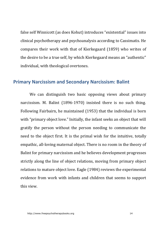false self Winnicott (as does Kohut) introduces "existential" issues into clinical psychotherapy and psychoanalysis according to Cassimatis. He compares their work with that of Kierkegaard (1859) who writes of the desire to be a true self, by which Kierkegaard means an "authentic" individual, with theological overtones.

#### **Primary Narcissism and Secondary Narcissism: Balint**

We can distinguish two basic opposing views about primary narcissism. M. Balint (1896-1970) insisted there is no such thing. Following Fairbairn, he maintained (1953) that the individual is born with "primary object love." Initially, the infant seeks an object that will gratify the person without the person needing to communicate the need to the object first. It is the primal wish for the intuitive, totally empathic, all-loving maternal object. There is no room in the theory of Balint for primary narcissism and he believes development progresses strictly along the line of object relations, moving from primary object relations to mature object love. Eagle (1984) reviews the experimental evidence from work with infants and children that seems to support this view.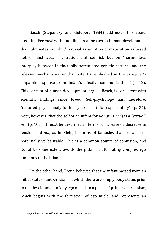Basch (Stepansky and Goldberg 1984) addresses this issue, crediting Ferenczi with founding an approach to human development that culminates in Kohut's crucial assumption of maturation as based not on instinctual frustration and conflict, but on "harmonious interplay between instinctually potentiated genetic patterns and the releaser mechanisms for that potential embodied in the caregiver's empathic response to the infant's affective communications" (p. 12). This concept of human development, argues Basch, is consistent with scientific findings since Freud. Self-psychology has, therefore, "restored psychoanalytic theory to scientific respectability" (p. 37). Note, however, that the self of an infant for Kohut (1977) is a "*virtual*" self (p. 101). It must be described in terms of increase or decrease in tension and *not*, as in Klein, in terms of fantasies that are at least potentially verbalizable. This is a common source of confusion, and Kohut to some extent avoids the pitfall of attributing complex ego functions to the infant.

On the other hand, Freud believed that the infant passed from an initial state of autoerotism, in which there are simply body states prior to the development of any ego nuclei, to a phase of primary narcissism, which begins with the formation of ego nuclei and represents an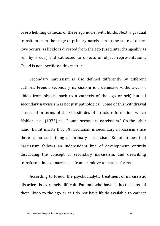overwhelming cathexis of these ego nuclei with libido. Next, a gradual transition from the stage of primary narcissism to the state of object love occurs, as libido is divested from the ego (used interchangeably as self by Freud) and cathected to objects or object representations. Freud is not specific on this matter.

Secondary narcissism is also defined differently by different authors. Freud's secondary narcissism is a defensive withdrawal of libido from objects back to a cathexis of the ego or self, but all secondary narcissism is not just pathological. Some of this withdrawal is normal in terms of the vicissitudes of structure formation, which Mahler et al. (1975) call "sound secondary narcissism." On the other hand, Balint insists that *all* narcissism is secondary narcissism since there is no such thing as primary narcissism. Kohut argues that narcissism follows an independent line of development, entirely discarding the concept of secondary narcissism, and describing transformations of narcissism from primitive to mature forms.

According to Freud, the psychoanalytic treatment of narcissistic disorders is extremely difficult. Patients who have cathected most of their libido to the ego or self do not have libido available to cathect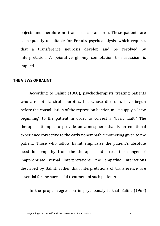objects and therefore no transference can form. These patients are consequently unsuitable for Freud's psychoanalysis, which requires that a transference neurosis develop and be resolved by interpretation. A pejorative gloomy connotation to narcissism is implied.

#### **THE VIEWS OF BALINT**

According to Balint (1968), psychotherapists treating patients who are not classical neurotics, but whose disorders have begun before the consolidation of the repression barrier, must supply a "new beginning" to the patient in order to correct a "basic fault." The therapist attempts to provide an atmosphere that is an emotional experience corrective to the early nonempathic mothering given to the patient. Those who follow Balint emphasize the patient's absolute need for empathy from the therapist and stress the danger of inappropriate verbal interpretations; the empathic interactions described by Balint, rather than interpretations of transference, are essential for the successful treatment of such patients.

In the proper regression in psychoanalysis that Balint  $(1968)$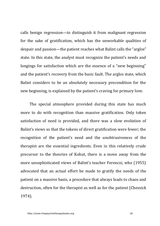calls benign regression—to distinguish it from malignant regression for the sake of gratification, which has the unworkable qualities of despair and passion—the patient reaches what Balint calls the "arglos" state. In this state, the analyst must recognize the patient's needs and longings for satisfaction which are the essence of a "new beginning" and the patient's recovery from the basic fault. The arglos state, which Balint considers to be an absolutely necessary precondition for the new beginning, is explained by the patient's craving for primary love.

The special atmosphere provided during this state has much more to do with recognition than massive gratification. Only token satisfaction of need is provided, and there was a slow evolution of Balint's views so that the tokens of direct gratification were fewer; the recognition of the patient's need and the unobtrusiveness of the therapist are the essential ingredients. Even in this relatively crude precursor to the theories of Kohut, there is a move away from the more unsophisticated views of Balint's teacher Ferenczi, who (1955) advocated that an actual effort be made to gratify the needs of the patient on a massive basis, a procedure that always leads to chaos and destruction, often for the therapist as well as for the patient (Chessick 1974).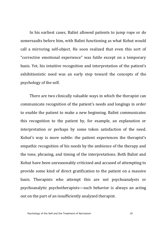In his earliest cases, Balint allowed patients to jump rope or do somersaults before him, with Balint functioning as what Kohut would call a mirroring self-object. He soon realized that even this sort of "corrective emotional experience" was futile except on a temporary basis. Yet, his intuitive recognition and interpretation of the patient's exhibitionistic need was an early step toward the concepts of the psychology of the self.

There are two clinically valuable ways in which the therapist can communicate recognition of the patient's needs and longings in order to enable the patient to make a new beginning. Balint communicates this recognition to the patient by, for example, an explanation or interpretation or perhaps by some token satisfaction of the need. Kohut's way is more subtle: the patient experiences the therapist's empathic recognition of his needs by the ambience of the therapy and the tone, phrasing, and timing of the interpretations. Both Balint and Kohut have been unreasonably criticized and accused of attempting to provide some kind of direct gratification to the patient on a massive basis. Therapists who attempt this are not psychoanalysts or psychoanalytic psychotherapists—such behavior is always an acting out on the part of an insufficiently analyzed therapist.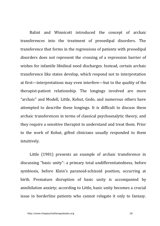Balint and Winnicott introduced the concept of archaic transferences into the treatment of preoedipal disorders. The transference that forms in the regressions of patients with preoedipal disorders does not represent the crossing of a repression barrier of wishes for infantile libidinal need discharges. Instead, certain archaic transference like states develop, which respond not to interpretation at first—interpretations may even interfere—but to the quality of the therapist-patient relationship. The longings involved are more "archaic" and Modell, Little, Kohut, Gedo, and numerous others have attempted to describe these longings. It is difficult to discuss these archaic transferences in terms of classical psychoanalytic theory, and they require a sensitive therapist to understand and treat them. Prior to the work of Kohut, gifted clinicians usually responded to them intuitively.

Little (1981) presents an example of archaic transference in discussing "basic unity": a primary total undifferentiatedness, before symbiosis, before Klein's paranoid-schizoid position, occurring at birth. Premature disruption of basic unity is accompanied by annihilation anxiety; according to Little, basic unity becomes a crucial issue in borderline patients who cannot relegate it only to fantasy.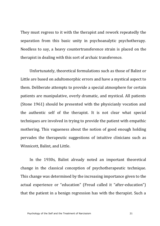They must regress to it with the therapist and rework repeatedly the separation from this basic unity in psychoanalytic psychotherapy. Needless to say, a heavy countertransference strain is placed on the therapist in dealing with this sort of archaic transference.

Unfortunately, theoretical formulations such as those of Balint or Little are based on adultomorphic errors and have a mystical aspect to them. Deliberate attempts to provide a special atmosphere for certain patients are manipulative, overly dramatic, and mystical. All patients (Stone 1961) should be presented with the physicianly vocation and the authentic self of the therapist. It is not clear what special techniques are involved in trying to provide the patient with empathic mothering. This vagueness about the notion of good enough holding pervades the therapeutic suggestions of intuitive clinicians such as Winnicott, Balint, and Little.

In the 1930s, Balint already noted an important theoretical change in the classical conception of psychotherapeutic technique. This change was determined by the increasing importance given to the actual experience or "education" (Freud called it "after-education") that the patient in a benign regression has with the therapist. Such a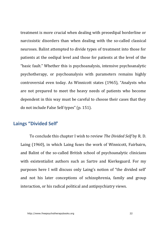treatment is more crucial when dealing with preoedipal borderline or narcissistic disorders than when dealing with the so-called classical neuroses. Balint attempted to divide types of treatment into those for patients at the oedipal level and those for patients at the level of the "basic fault." Whether this is psychoanalysis, intensive psychoanalytic psychotherapy, or psychoanalysis with parameters remains highly controversial even today. As Winnicott states (1965), "Analysts who are not prepared to meet the heavy needs of patients who become dependent in this way must be careful to choose their cases that they do not include False Self types" (p. 151).

#### **Laings "Divided Self'**

To conclude this chapter I wish to review *The Divided Self* by R. D. Laing (1960), in which Laing fuses the work of Winnicott, Fairbairn, and Balint of the so-called British school of psychoanalytic clinicians with existentialist authors such as Sartre and Kierkegaard. For my purposes here I will discuss only Laing's notion of "the divided self" and not his later conceptions of schizophrenia, family and group interaction, or his radical political and antipsychiatry views.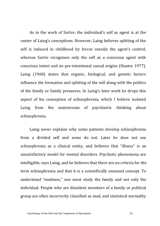As in the work of Sartre, the individual's self as agent is at the center of Laing's conceptions. However, Laing believes splitting of the self is induced in childhood by forces outside the agent's control. whereas Sartre recognizes only the self as a conscious agent with conscious intent and no pre-intentional causal origins (Hunter 1977). Laing (1960) states that organic, biological, and genetic factors influence the formation and splitting of the self along with the politics of the family or family pressures. In Laing's later work he drops this aspect of his conception of schizophrenia, which I believe isolated Laing from the mainstream of psychiatric thinking about schizophrenia.

Laing never explains why some patients develop schizophrenia from a divided self and some do not. Later he does not see schizophrenia as a clinical entity, and believes that "illness" is an unsatisfactory model for mental disorders. Psychotic phenomena are intelligible, says Laing, and he believes that there are no criteria for the term schizophrenia and that it is a scientifically unsound concept. To understand "madness," one must study the family and not only the individual. People who are dissident members of a family or political group are often incorrectly classified as mad, and statistical normality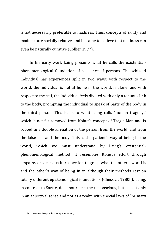is not necessarily preferable to madness. Thus, concepts of sanity and madness are socially relative, and he came to believe that madness can even be naturally curative (Collier 1977).

In his early work Laing presents what he calls the existentialphenomenological foundation of a science of persons. The schizoid individual has experiences split in two ways: with respect to the world, the individual is not at home in the world, is alone; and with respect to the self, the individual feels divided with only a tenuous link to the body, prompting the individual to speak of parts of the body in the third person. This leads to what Laing calls "human tragedy," which is not far removed from Kohut's concept of Tragic Man and is rooted in a double alienation of the person from the world, and from the false self and the body. This is the patient's way of being in the world, which we must understand by Laing's existentialphenomenological method; it resembles Kohut's effort through empathy or vicarious introspection to grasp what the other's world is and the other's way of being in it, although their methods rest on totally different epistemological foundations (Chessick 1980b). Laing, in contrast to Sartre, does not reject the unconscious, but uses it only in an adjectival sense and not as a realm with special laws of "primary"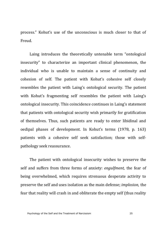process." Kohut's use of the unconscious is much closer to that of Freud.

Laing introduces the theoretically untenable term "ontological insecurity" to characterize an important clinical phenomenon, the individual who is unable to maintain a sense of continuity and cohesion of self. The patient with Kohut's cohesive self closely resembles the patient with Laing's ontological security. The patient with Kohut's fragmenting self resembles the patient with Laing's ontological insecurity. This coincidence continues in Laing's statement that patients with ontological security wish primarily for gratification of themselves. Thus, such patients are ready to enter libidinal and oedipal phases of development. In Kohut's terms (1978, p. 163) patients with a cohesive self seek satisfaction; those with selfpathology seek reassurance.

The patient with ontological insecurity wishes to preserve the self and suffers from three forms of anxiety: *engulfment*, the fear of being overwhelmed, which requires strenuous desperate activity to preserve the self and uses isolation as the main defense; *implosion*, the fear that reality will crash in and obliterate the empty self (thus reality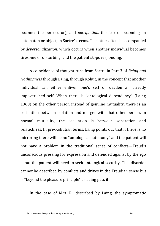becomes the persecutor); and *petrifaction*, the fear of becoming an automaton or object, in Sartre's terms. The latter often is accompanied by *depersonalization*, which occurs when another individual becomes tiresome or disturbing, and the patient stops responding.

A coincidence of thought runs from Sartre in Part 3 of *Being and Nothingness* through Laing, through Kohut, in the concept that another individual can either enliven one's self or deaden an already impoverished self. When there is "ontological dependency" (Laing 1960) on the other person instead of genuine mutuality, there is an oscillation between isolation and merger with that other person. In normal mutuality, the oscillation is between separation and relatedness. In pre-Kohutian terms, Laing points out that if there is no mirroring there will be no "ontological autonomy" and the patient will not have a problem in the traditional sense of conflicts—Freud's unconscious pressing for expression and defended against by the ego  $-$ but the patient will need to seek ontological security. This disorder cannot be described by conflicts and drives in the Freudian sense but is "beyond the pleasure principle" as Laing puts it.

In the case of Mrs. R., described by Laing, the symptomatic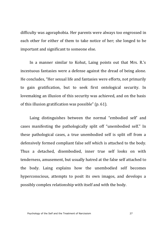difficulty was agoraphobia. Her parents were always too engrossed in each other for either of them to take notice of her; she longed to be important and significant to someone else.

In a manner similar to Kohut, Laing points out that Mrs. R.'s incestuous fantasies were a defense against the dread of being alone. He concludes. "Her sexual life and fantasies were efforts, not primarily to gain gratification, but to seek first ontological security. In lovemaking an illusion of this security was achieved, and on the basis of this illusion gratification was possible"  $(p. 61)$ .

Laing distinguishes between the normal "embodied self' and cases manifesting the pathologically split off "unembodied self." In these pathological cases, a true unembodied self is split off from a defensively formed compliant false self which is attached to the body. Thus a detached, disembodied, inner true self looks on with tenderness, amusement, but usually hatred at the false self attached to the body. Laing explains how the unembodied self becomes hyperconscious, attempts to posit its own imagos, and develops a possibly complex relationship with itself and with the body.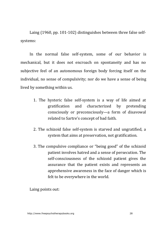Laing  $(1960, pp. 101-102)$  distinguishes between three false selfsystems:

In the normal false self-system, some of our behavior is mechanical, but it does not encroach on spontaneity and has no subjective feel of an autonomous foreign body forcing itself on the individual, no sense of compulsivity; nor do we have a sense of being lived by something within us.

- 1. The hysteric false self-system is a way of life aimed at gratification and characterized by pretending consciously or preconsciously—a form of disavowal related to Sartre's concept of bad faith.
- 2. The schizoid false self-system is starved and ungratified, a system that aims at preservation, not gratification.
- 3. The compulsive compliance or "being good" of the schizoid patient involves hatred and a sense of persecution. The self-consciousness of the schizoid patient gives the assurance that the patient exists and represents an apprehensive awareness in the face of danger which is felt to be everywhere in the world.

Laing points out: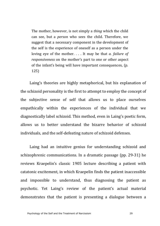The mother, however, is not simply a *thing* which the child can see, but a *person* who sees the child. Therefore, we suggest that a necessary component in the development of the self is the experience of oneself as a person under the loving eye of the mother. . . . It may be that *a. failure of responsiveness* on the mother's part to one or other aspect of the infant's being will have important consequences, (p. 125)

Laing's theories are highly metaphorical, but his explanation of the schizoid personality is the first to attempt to employ the concept of the subjective sense of self that allows us to place ourselves empathically within the experiences of the individual that we diagnostically label schizoid. This method, even in Laing's poetic form, allows us to better understand the bizarre behavior of schizoid individuals, and the self-defeating nature of schizoid defenses.

Laing had an intuitive genius for understanding schizoid and schizophrenic communications. In a dramatic passage (pp. 29-31) he reviews Kraepelin's classic 1905 lecture describing a patient with catatonic excitement, in which Kraepelin finds the patient inaccessible and impossible to understand, thus diagnosing the patient as psychotic. Yet Laing's review of the patient's actual material demonstrates that the patient is presenting a dialogue between a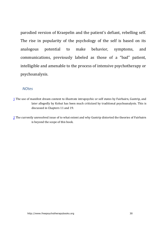<span id="page-29-1"></span><span id="page-29-0"></span>parodied version of Kraepelin and the patient's defiant, rebelling self. The rise in popularity of the psychology of the self is based on its analogous potential to make behavior, symptoms, and communications, previously labeled as those of a "bad" patient, intelligible and amenable to the process of intensive psychotherapy or psychoanalysis.

#### *NOtes*

- 1 The use of manifest dream content to illustrate intrapsychic or self states by Fairbairn, Guntrip, and later allegedly by Kohut has been much criticized by traditional psychoanalysts. This is discussed in Chapters 11 and 19.
- 2 The currently unresolved issue of to what extent and why Guntrip distorted the theories of Fairbairn is beyond the scope of this book.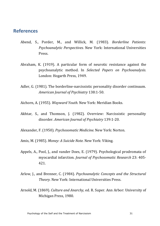#### **References**

- Abend, S., Porder, M., and Willick, M. (1983). *Borderline Patients: Psychoanalytic Perspectives.* New York: International Universities Press.
- Abraham, K. (1919). A particular form of neurotic resistance against the psychoanalytic method. In *Selected Papers on Psychoanalysis.* London: Hogarth Press, 1949.
- Adler, G. (1981). The borderline-narcissistic personality disorder continuum. *American Journal of Psychiatry* 138:1-50.
- Aichorn, A. (1955). *Wayward Youth.* New York: Meridian Books.
- Akhtar, S., and Thomson, J. (1982). Overview: Narcissistic personality disorder. *American Journal of Psychiatry* 139:1-20.
- Alexander, F. (1950). *Psychosomatic Medicine*. New York: Norton.
- Amis, M. (1985). Money: A Suicide Note. New York: Viking.
- Appels, A., Pool, J., and vander Does, E. (1979). Psychological prodromata of myocardial infarction. *Journal of Psychosomatic Research* 23: 405-421.
- Arlow, J., and Brenner, C. (1984). *Psychoanalytic Concepts and the Structural Theory.* New York: International Universities Press.
- Arnold, M. (1869). *Culture and Anarchy*, ed. R. Super. Ann Arbor: University of Michigan Press, 1980.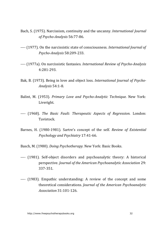- Bach, S. (1975). Narcissism, continuity and the uncanny. *International Journal of Psycho-Analysis* 56:77-86.
- ---- (1977). On the narcissistic state of consciousness. *International Journal of Psycho-Analysis* 58:209-233.
- ---- (1977a). On narcissistic fantasies. *International Review of Psycho-Analysis* 4:281-293.
- Bak, B. (1973). Being in love and object loss. *International Journal of Psycho-Analysis* 54:1-8.
- Balint, M. (1953). *Primary Love and Psycho-Analytic Technique.* New York: Liveright.
- ---- (1968). *The Basic Fault: Therapeutic Aspects of Regression.* London: Tavistock.
- Barnes, H. (1980-1981). Sartre's concept of the self. *Review of Existential Psychology and Psychiatry* 17:41-66.
- Basch, M. (1980). *Doing Psychotherapy.* New York: Basic Books.
- ---- (1981). Self-object disorders and psychoanalytic theory: A historical perspective. *Journal of the American Psychoanalytic Association* 29: 337-351.
- ---- (1983). Empathic understanding: A review of the concept and some theoretical considerations. *Journal of the American Psychoanalytic Association* 31:101-126.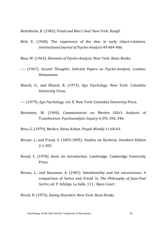Bettelheim, B. (1982). *Freud and Man's Soul.* New York: Knopf.

- Bick, E. (1968). The experience of the skin in early object-relations. *International Journal of Psycho-Analysis* 49:484-486.
- Bion, W. (1963). *Elements of Psycho-Analysis*. New York: Basic Books.
- ---- (1967). Second Thoughts: Selected Papers on Psycho-Analysis. London: Heinemann.
- Blanck, G., and Blanck, R. (1973). *Ego Psychology*. New York: Columbia University Press.
- ---- (1979). *Ego Psychology*, vol. II. New York: Columbia University Press.
- Bornstein, M. (1984). Commentaries on Merton Gills's Analysis of Transference. *Psychoanalytic Inquiry* 4:391-392, 446.
- Breu, G. (1979). Medics: Heinz Kohut. *People Weekly* 11:60-63.
- Breuer, I., and Freud, S. (1893-1895). Studies on Hysteria. *Standard Edition* 2:1-305.
- Broad, C. (1978). *Kant: An Introduction.* Cambridge: Cambridge University Press.
- Brown, L., and Hausman, A. (1981). Intentionality and the unconscious: A comparison of Sartre and Freud. In *The Philosophy of Jean-Paul Sartre,* ed. P. Schilpp. La Salle, 111.: Open Court.

Bruch, H. (1973). *Eating Disorders.* New York: Basic Books.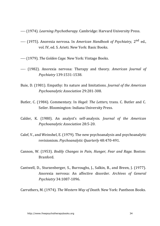---- (1974). *Learning Psychotherapy.* Cambridge: Harvard University Press.

- ---- (1975). Anorexia nervosa. In *American Handbook of Psychiatry*. 2<sup>nd</sup> ed., vol. IV, ed. S. Arieti. New York: Basic Books.
- ---- (1979). *The Golden Cage*. New York: Vintage Books.
- ---- (1982). Anorexia nervosa: Therapy and theory. *American Journal of Psychiatry* 139:1531-1538.
- Buie, D. (1981). Empathy: Its nature and limitations. *Journal of the American Psychoanalytic Association* 29:281-308.
- Butler, C. (1984). Commentary. In *Hegel: The Letters*, trans. C. Butler and C. Seiler. Bloomington: Indiana University Press.
- Calder, K. (1980). An analyst's self-analysis. *Journal of the American Psychoanalytic Association* 28:5-20.
- Calef, V., and Weinshel, E. (1979). The new psychoanalysis and psychoanalytic revisionism. *Psychoanalytic Quarterly* 48:470-491.
- Cannon, W. (1953). *Bodily Changes in Pain, Hunger, Fear and Rage. Boston:* Branford.
- Cantwell, D., Sturzenberger, S., Burroughs, J., Salkin, B., and Breen, J. (1977). Anorexia nervosa: An affective disorder. *Archives of General Psychiatry* 34:1087-1096.

Carruthers, M. (1974). *The Western Way of Death.* New York: Pantheon Books.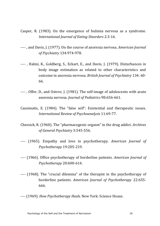- Casper, R.  $(1983)$ . On the emergence of bulimia nervosa as a syndrome. *International Journal of Eating Disorders* 2:3-16.
- ----, and Davis, J. (1977). On the course of anorexia nervosa. *American Journal of Psychiatry* 134:974-978.
- ----, Halmi, K., Goldberg, S., Eckart, E., and Davis, J. (1979). Disturbances in body image estimation as related to other characteristics and outcome in anorexia nervosa. *British Journal of Psychiatry* 134: 60-66.
- ----, Offer, D., and Ostrov, J. (1981). The self-image of adolescents with acute anorexia nervosa. *Journal of Pediatrics* 98:656-661.
- Cassimatis, E. (1984). The "false self": Existential and therapeutic issues. *International Review of Psychoanalysis* 11:69-77.
- Chessick, R. (1960). The "pharmacogenic orgasm" in the drug addict. *Archives of General Psychiatry* 3:545-556.
- ---- (1965). Empathy and love in psychotherapy. *American Journal of Psychotherapy* 19:205-219.
- ---- (1966). Office psychotherapy of borderline patients. *American Journal of Psychotherapy* 20:600-614.
- ---- (1968). The "crucial dilemma" of the therapist in the psychotherapy of borderline patients. *American Journal of Psychotherapy* 22:655-666.
- ---- (1969). *How Psychotherapy Heals.* New York: Science House.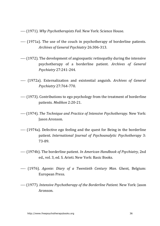---- (1971). *Why Psychotherapists Fail.* New York: Science House.

- ---- (1971a). The use of the couch in psychotherapy of borderline patients. *Archives of General Psychiatry* 26:306-313.
- ---- (1972). The development of angiospastic retinopathy during the intensive psychotherapy of a borderline patient. *Archives of General Psychiatry* 27:241-244.
- ---- (1972a). Externalization and existential anguish. *Archives of General Psychiatry* 27:764-770.
- ---- (1973). Contributions to ego psychology from the treatment of borderline patients. *Medikon* 2:20-21.
- ---- (1974). *The Technique and Practice of Intensive Psychotherapy.* New York: **Jason Aronson.**
- ---- (1974a). Defective ego feeling and the quest for Being in the borderline patient. *International Journal of Psychoanalytic Psychotherapy* 3: 73-89.
- ---- (1974b). The borderline patient. *In American Handbook of Psychiatry*, 2nd ed., vol. 3, ed. S. Arieti. New York: Basic Books.
- ---- (1976). *Agonie: Diary of a Twentieth Century Man.* Ghent, Belgium: European Press.
- ---- (1977). *Intensive Psychotherapy of the Borderline Patient*. New York: Jason Aronson.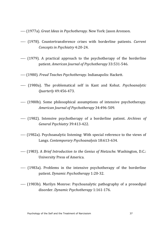---- (1977a). *Great Ideas in Psychotherapy.* New York: Jason Aronson.

- ---- (1978). Countertransference crises with borderline patients. *Current Concepts in Psychiatry* 4:20-24.
- ---- (1979). A practical approach to the psychotherapy of the borderline patient. *American Journal of Psychotherapy* 33:531-546.
- ---- (1980). *Freud Teaches Psychotherapy.* Indianapolis: Hackett.
- ---- (1980a). The problematical self in Kant and Kohut. *Psychoanalytic Quarterly* 49:456-473.
- ---- (1980b). Some philosophical assumptions of intensive psychotherapy. *American Journal of Psychotherapy* 34:496-509.
- ---- (1982). Intensive psychotherapy of a borderline patient. *Archives of General Psychiatry* 39:413-422.
- ---- (1982a). Psychoanalytic listening: With special reference to the views of Langs. *Contemporary Psychoanalysis* 18:613-634.
- ---- (1983). A *Brief Introduction to the Genius of Nietzsche*. Washington, D.C.: University Press of America.
- ---- (1983a). Problems in the intensive psychotherapy of the borderline patient. *Dynamic Psychotherapy* 1:20-32.
- ---- (1983b). Marilyn Monroe: Psychoanalytic pathography of a preoedipal disorder. *Dynamic Psychotherapy* 1:161-176.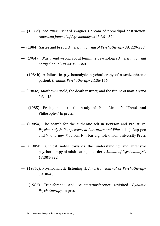- ---- (1983c). *The Ring:* Richard Wagner's dream of preoedipal destruction. *American Journal of Psychoanalysis* 43:361-374.
- ---- (1984). Sartre and Freud. *American Journal of Psychotherapy* 38: 229-238.
- ---- (1984a). Was Freud wrong about feminine psychology? *American Journal of Psychoanalysis* 44:355-368.
- ---- (1984b). A failure in psychoanalytic psychotherapy of a schizophrenic patient. *Dynamic Psychotherapy* 2:136-156.
- ---- (1984c). Matthew Arnold, the death instinct, and the future of man. *Cogito* 2:31-48.
- ---- (1985). Prolegomena to the study of Paul Ricoeur's "Freud and Philosophy." In press.
- ---- (1985a). The search for the authentic self in Bergson and Proust. In. *Psychoanalytic Perspectives in Literature and Film, eds. I. Rep-pen* and M. Charney. Madison, N.J.: Farleigh Dickinson University Press.
- ---- (1985b). Clinical notes towards the understanding and intensive psychotherapy of adult eating disorders. *Annual of Psychoanalysis* 13:301-322.
- ---- (1985c). Psychoanalytic listening II. *American Journal of Psychotherapy* 39:30-48.
- ---- (1986). Transference and countertransference revisited. *Dynamic Psychotherapy.* In press.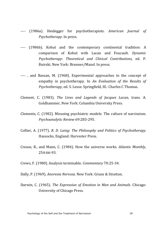- ---- (1986a). Heidegger for psychotherapists. *American Journal of Psychotherapy.* In press.
- ---- (1986b). Kohut and the contemporary continental tradition: A comparison of Kohut with Lacan and Foucault. *Dynamic Psychotherapy: Theoretical and Clinical Contributions,* ed. P. Buirski. New York: Brunner/Mazel. In press.
- ----, and Bassan, M. (1968). Experimental approaches to the concept of empathy in psychotherapy. In *An Evaluation of the Results of Psychotherapy, ed.* S. Lesse. Springfield, Ill.: Charles C Thomas.
- Clement, C. (1983). *The Lives and Legends of Jacques Lacan*, trans. A. Goldhammer, New York: Columbia University Press.
- Clements, C. (1982). Misusing psychiatric models: The culture of narcissism. *Psychoanalytic Review* 69:283-295.
- Collier, A. (1977). *R. D. Laing: The Philosophy and Politics of Psychotherapy.* Hassocks, England: Harvester Press.
- Crease, R., and Mann, C. (1984). How the universe works. *Atlantic Monthly*, 254:66-93.
- Crews, F. (1980). Analysis terminable. *Commentary* 70:25-34.
- Dally, P. (1969). *Anorexia Nervosa.* New York: Grune & Stratton.
- Darwin, C. (1965). *The Expression of Emotion in Man and Animals.* Chicago: University of Chicago Press.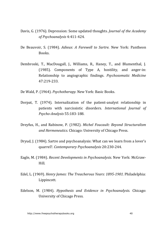- Davis, G. (1976). Depression: Some updated thoughts. *Journal of the Academy of Psychoanalysis* 4:411-424.
- De Beauvoir, S. (1984). *Adieux: A Farewell to Sartre.* New York: Pantheon Books.
- Dembroski, T., MacDougall, J., Williams, R., Haney, T., and Blumenthal, J. (1985). Components of Type A, hostility, and anger-in: Relationship to angiographic findings. *Psychosomatic Medicine* 47:219-233.
- De Wald, P. (1964). *Psychotherapy.* New York: Basic Books.
- Dorpat, T. (1974). Internalization of the patient-analyst relationship in patients with narcissistic disorders. *International Journal of Psycho-Analysis* 55:183-188.
- Dreyfus, H., and Rabinow, P. (1982). *Michel Foucault: Beyond Structuralism and Hermeneutics.* Chicago: University of Chicago Press.
- Dryud, I. (1984). Sartre and psychoanalysis: What can we learn from a lover's quarrel?. *Contemporary Psychoanalysis* 20:230-244.
- Eagle, M. (1984). *Recent Developments in Psychoanalysis*. New York: McGraw-Hill.
- Edel, L. (1969). *Henry James: The Treacherous Years: 1895-1901.* Philadelphia: Lippincott.
- Edelson, M. (1984). *Hypothesis and Evidence in Psychoanalysis*. Chicago: University of Chicago Press.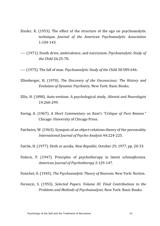- Eissler, K.  $(1953)$ . The effect of the structure of the ego on psychoanalytic technique. *Journal of the American Psychoanalytic Association* 1:104-143.
- ---- (1971). Death drive, ambivalence, and narcissism. *Psychoanalytic Study of the Child* 26:25-78.
- ---- (1975). The fall of man. *Psychoanalytic Study of the Child* 30:589-646.
- Ellenberger, H. (1970). *The Discovery of the Unconscious: The History and Evolution of Dynamic Psychiatry.* New York: Basic Books.
- Ellis, H. (1898). Auto-erotism: A psychological study. *Alienist and Neurologist* 19:260-299.
- Ewing, A. (1967). A *Short Commentary on Kant's "Critique of Pure Reason."* Chicago: University of Chicago Press.
- Fairbairn, W. (1963). Synopsis of an object-relations theory of the personality. *International Journal of Psycho-Analysis* 44:224-225.
- Fairlie, H. (1977). Sloth or acedia. *New Republic*, October 29, 1977, pp. 20-33.
- Federn, P. (1947). Principles of psychotherapy in latent schizophrenia. *American Journal of Psychotherapy* 2:129-147.

Fenichel, O. (1945). *The Psychoanalytic Theory of Neurosis*. New York: Norton.

Ferenczi, S. (1955). *Selected Papers. Volume III: Final Contributions to the Problems and Methods of Psychoanalysis.* New York: Basic Books.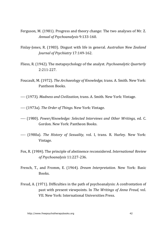- Ferguson, M. (1981). Progress and theory change: The two analyses of Mr. Z. *Annual of Psychoanalysis* 9:133-160.
- Finlay-Jones, R. (1983). Disgust with life in general. *Australian New Zealand Journal of Psychiatry* 17:149-162.
- Fliess, R. (1942). The metapsychology of the analyst. *Psychoanalytic Quarterly* 2:211-227.
- Foucault, M. (1972). *The Archaeology of Knowledge*, trans. A. Smith. New York: Pantheon Books.
- ---- (1973). *Madness and Civilization*, trans. A. Smith. New York: Vintage.
- ---- (1973a). *The Order of Things.* New York: Vintage.
- ---- (1980). *Power/Knowledge: Selected Interviews and Other Writings, ed. C.* Gordon. New York: Pantheon Books.
- ---- (1980a). *The History of Sexuality*, vol. I, trans. R. Hurley. New York: Vintage.
- Fox, R. (1984). The principle of abstinence reconsidered. *International Review of Psychoanalysis* 11:227-236.
- French, T., and Fromm, E. (1964). *Dream Interpretation*. New York: Basic Books.
- Freud, A. (1971). Difficulties in the path of psychoanalysis: A confrontation of past with present viewpoints. In *The Writings of Anna Freud, vol.* VII. New York: International Universities Press.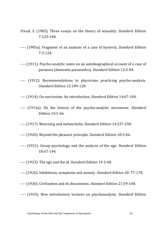- Freud, S. (1905). Three essays on the theory of sexuality. *Standard Edition* 7:125-248.
- ---- (1905a). Fragment of an analysis of a case of hysteria. *Standard Edition* 7:3-124.
- ---- (1911). Psycho-analytic notes on an autobiographical account of a case of paranoia (dementia paranoides). *Standard Edition* 12:3-84.
- ---- (1912). Recommendations to physicians practicing psycho-analysis. *Standard Edition* 12:109-120.
- ---- (1914). On narcissism: An introduction. *Standard Edition* 14:67-104.
- ---- (1914a). On the history of the psycho-analytic movement. *Standard Edition* 14:1-66.
- ---- (1917). Mourning and melancholia. *Standard Edition* 14:237-258.
- ---- (1920). Beyond the pleasure principle. *Standard Edition* 18:3-66.
- ---- (1921). Group psychology and the analysis of the ego. *Standard Edition* 18:67-144.
- ---- (1923). The ego and the id. *Standard Edition* 19:3-68.
- ---- (1926). Inhibitions, symptoms and anxiety. *Standard Edition* 20: 77-178.
- ---- (1930). Civilization and its discontents. *Standard Edition* 21:59-148.
- ---- (1933). New introductory lectures on psychoanalysis. *Standard Edition*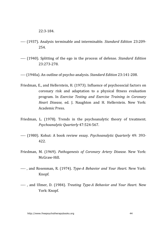22:3-184.

- ---- (1937). Analysis terminable and interminable. *Standard Edition* 23:209-254.
- ---- (1940). Splitting of the ego in the process of defense. *Standard Edition* 23:273-278.
- ---- (1940a). An outline of psycho-analysis. *Standard Edition* 23:141-208.
- Friedman, E., and Hellerstein, H. (1973). Influence of psychosocial factors on coronary risk and adaptation to a physical fitness evaluation program. In *Exercise Testing and Exercise Training in Coronary Heart Disease, ed. J. Naughton and H. Hellerstein. New York:* Academic Press.
- Friedman, L. (1978). Trends in the psychoanalytic theory of treatment. *Psychoanalytic Quarterly* 47:524-567.
- ---- (1980). Kohut: A book review essay. *Psychoanalytic Ouarterly* 49: 393-422.
- Friedman, M. (1969). *Pathogenesis of Coronary Artery Disease*. New York: McGraw-Hill.
- ----, and Rosenman, R. (1974). *Type-A Behavior and Your Heart*. New York: Knopf.
- ----, and Ulmer, D. (1984). *Treating Type-A Behavior and Your Heart.* New York: Knopf.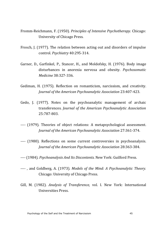- Fromm-Reichmann, F. (1950). *Principles of Intensive Psychotherapy.* Chicago: University of Chicago Press.
- Frosch, J. (1977). The relation between acting out and disorders of impulse control. *Psychiatry* 40:295-314.
- Garner, D., Garfinkel, P., Stancer, H., and Moldofsky, H. (1976). Body image disturbances in anorexia nervosa and obesity. *Psychosomatic Medicine* 38:327-336.
- Gediman, H. (1975). Reflection on romanticism, narcissism, and creativity. *Journal of the American Psychoanalytic Association* 23:407-423.
- Gedo, J. (1977). Notes on the psychoanalytic management of archaic transferences. *Journal of the American Psychoanalytic Association* 25:787-803.
- ---- (1979). Theories of object relations: A metapsychological assessment. *Journal of the American Psychoanalytic Association* 27:361-374.
- ---- (1980). Reflections on some current controversies in psychoanalysis. *Journal of the American Psychoanalytic Association* 28:363-384.
- ---- (1984). *Psychoanalysis And Its Discontents.* New York: Guilford Press.
- ----, and Goldberg, A. (1973). *Models of the Mind: A Psychoanalytic Theory.* Chicago: University of Chicago Press.
- Gill, M. (1982). *Analysis of Transference*, vol. I. New York: International Universities Press.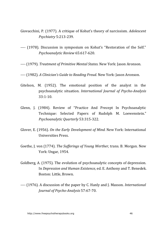- Giovacchini, P. (1977). A critique of Kohut's theory of narcissism. *Adolescent Psychiatry* 5:213-239.
- ---- (1978). Discussion in symposium on Kohut's "Restoration of the Self." *Psychoanalytic Review* 65:617-620.
- ---- (1979). *Treatment of Primitive Mental States.* New York: Jason Aronson.
- ---- (1982). *A Clinician's Guide to Reading Freud.* New York: Jason Aronson.
- Gitelson, M.  $(1952)$ . The emotional position of the analyst in the psychoanalytic situation. *International Journal of Psycho-Analysis*  $33.1 - 10$
- Glenn, J. (1984). Review of "Practice And Precept In Psychoanalytic Technique: Selected Papers of Rudolph M. Loewenstein." *Psychoanalytic Quarterly* 53:315-322.
- Glover, E. (1956). *On the Early Development of Mind.* New York: International Universities Press.
- Goethe, J. von (1774). *The Sufferings of Young Werther*, trans. B. Morgan. New York: Ungar, 1954.
- Goldberg, A. (1975). The evolution of psychoanalytic concepts of depression. In *Depression and Human Existence*, ed. E. Anthony and T. Benedek. Boston: Little, Brown.
- ---- (1976). A discussion of the paper by C. Hanly and J. Masson. *International Journal of Psycho-Analysis* 57:67-70.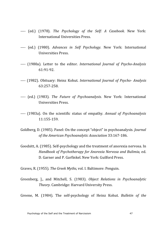- ---- (ed.) (1978). *The Psychology of the Self: A Casebook*. New York: International Universities Press.
- ---- (ed.) (1980). *Advances in Self Psychology*. New York: International Universities Press.
- ---- (1980a). Letter to the editor. *International Journal of Psycho-Analysis* 61:91-92.
- ---- (1982). Obituary: Heinz Kohut. *International Journal of Psycho- Analysis* 63:257-258.
- ---- (ed.) (1983). *The Future of Psychoanalysis*. New York: International Universities Press.
- ---- (1983a). On the scientific status of empathy. *Annual of Psychoanalysis* 11:155-159.
- Goldberg, D. (1985). Panel: On the concept "object" in psychoanalysis. *Journal of the American Psychoanalytic Association* 33:167-186.
- Goodsitt, A. (1985). Self-psychology and the treatment of anorexia nervosa. In *Handbook of Psychotherapy for Anorexia Nervosa and Bulimia,* ed. D. Garner and P. Garfinkel. New York: Guilford Press.
- Graves, R. (1955). *The Greek Myths*, vol. I. Baltimore: Penguin.
- Greenberg, ]., and Mitchell, S. (1983). *Object Relations in Psychoanalytic Theory.* Cambridge: Harvard University Press.

Greene, M. (1984). The self-psychology of Heinz Kohut. *Bulletin of the*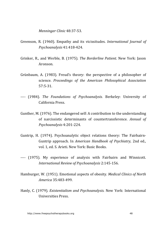*Menninger Clinic* 48:37-53.

- Greenson, R. (1960). Empathy and its vicissitudes. *International Journal of Psychoanalysis* 41:418-424.
- Grinker, R., and Werble, B. (1975). *The Borderline Patient*. New York: Jason Aronson.
- Grünbaum, A. (1983). Freud's theory: the perspective of a philosopher of science. *Proceedings of the American Philosophical Association* 57:5-31.
- ---- (1984). *The Foundations of Psychoanalysis*. Berkeley: University of California Press.
- Gunther, M. (1976). The endangered self: A contribution to the understanding of narcissistic determinants of countertransference. Annual of *Psychoanalysis* 4:201-224.
- Guntrip, H. (1974). Psychoanalytic object relations theory: The Fairbairn-Guntrip approach. In *American Handbook of Psychiatry*, 2nd ed., vol. 1, ed. S. Arieti. New York: Basic Books.
- ---- (1975). My experience of analysis with Fairbairn and Winnicott. *International Review of Psychoanalysis* 2:145-156.
- Hamburger, W. (1951). Emotional aspects of obesity. *Medical Clinics of North America* 35:483-499.
- Hanly, C. (1979). *Existentialism and Psychoanalysis*. New York: International Universities Press.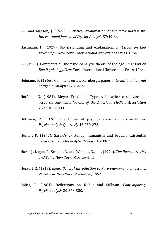- ----, and Masson, J. (1976). A critical examination of the new narcissism. *International Journal of Psycho-Analysis* 57:49-66.
- Hartmann, H. (1927). Understanding and explanation. In *Essays on Ego Psychology.* New York: International Universities Press, 1964.
- ---- (1950). Comments on the psychoanalytic theory of the ego. In *Essays on Ego Psychology.* New York: International Universities Press, 1964.
- Heimann, P. (1966). Comment on Dr. Kernberg's paper. *International Journal of Psycho-Analysis* 47:254-260.
- Hoffman, N. (1984). Meyer Friedman: Type A behavior cardiovascular research continues. *Journal of the American Medical Association* 252:1385-1393.
- Holzman, P. (1976). The future of psychoanalysis and its institutes. *Psychoanalytic Quarterly* 45:250-273.
- Hunter, P. (1977). Sartre's existential humanism and Freud's existential naturalism. *Psychoanalytic Review* 64:289-298.
- Hurst, J., Logue, R., Schlant, R., and Wenger, N., eds. (1974). *The Heart: Arteries and Veins.* New York: McGraw-Hill.
- Husserl, E. (1913). *Ideas: General Introduction to Pure Phenomenology*, trans. W. Gibson. New York: Macmillan, 1952.
- Imber, R. (1984). Reflections on Kohut and Sullivan. *Contemporary Psychoanalysis* 20:363-380.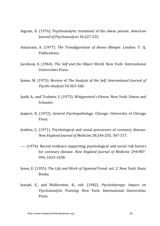- Ingram, D. (1976). Psychoanalytic treatment of the obese person. *American Journal of Psychoanalysis* 36:227-235.
- Innaurato, A. (1977). *The Transfiguration of Benno Blimpie*. London: T. O. Publications.
- Jacobson, E. (1964). *The Self and the Object World*. New York: International Universities Press.
- James, M. (1973). Review of *The Analysis of the Self. International Journal of Psycho-Analysis* 54:363-368.
- Janik, A., and Toulmin, S. (1973). *Wittgenstein's Vienna*. New York: Simon and Schuster.
- Jaspers, K. (1972). *General Psychopathology*. Chicago: University of Chicago Press.
- Jenkins, C. (1971). Psychological and social precursors of coronary disease. *New England Journal of Medicine* 28:244-255, 307-317.
- ---- (1976). Recent evidence supporting psychological and social risk factors for coronary disease. *New England Journal of Medicine* 294:987-994, 1033-1038.
- Jones, E. (1955). *The Life and Work of Sigmund Freud,* vol. 2. New York: Basic Books.
- Joseph, E., and Wallerstein, R., eds. (1982). *Psychotherapy: Impact on Psychoanalytic Training.* New York: International Universities Press.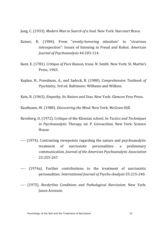Jung, C. (1933). *Modern Man in Search of a Soul.* New York: Harcourt Brace.

- Kainer, R. (1984). From "evenly-hovering attention" to "vicarious introspection": Issues of listening in Freud and Kohut. *American Journal of Psychoanalysis* 44:103-114.
- Kant, E. (1781). *Critique of Pure Reason*, trans. N. Smith. New York: St. Martin's Press, 1965.
- Kaplan, H., Freedman, A., and Sadock, B. (1980). *Comprehensive Textbook of Psychiatry*, 3rd ed. Baltimore: Williams and Wilkins.
- Katz, R. (1963). *Empathy, Its Nature and Uses.* New York: Glencoe Free Press.

Kaufmann, W. (1980). *Discovering the Mind.* New York: McGraw-Hill.

- Kernberg, O. (1972). Critique of the Kleinian school. In *Tactics and Techniques in Psychoanalytic Therapy,* ed. P. Giovacchini. New York: Science House.
- ---- (1974). Contrasting viewpoints regarding the nature and psychoanalytic treatment of narcissistic personalities: a preliminary communication. *Journal of the American Psychoanalytic Association* 22:255-267.
- ---- (1974a). Further contributions to the treatment of narcissistic personalities. *International Journal of Psycho-Analysis* 55:215-240.
- ---- (1975). *Borderline Conditions and Pathological Narcissism*. New York: Jason Aronson.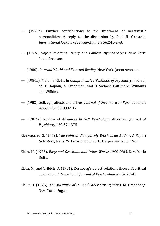- ---- (1975a). Further contributions to the treatment of narcissistic personalities: A reply to the discussion by Paul H. Ornstein. *International Journal of Psycho-Analysis* 56:245-248.
- ---- (1976). *Object Relations Theory and Clinical Psychoanalysis*. New York: Jason Aronson.
- ---- (1980). *Internal World and External Reality*. New York: Jason Aronson.
- ---- (1980a). Melanie Klein. In *Comprehensive Textbook of Psychiatry*, 3rd ed., ed. H. Kaplan, A. Freedman, and B. Sadock. Baltimore: Williams and Wilkins.
- ---- (1982). Self, ego, affects and drives. *Journal of the American Psychoanalytic Association* 30:893-917.
- ---- (1982a). Review of *Advances In Self Psychology. American Journal of Psychiatry* 139:374-375.
- Kierkegaard, S. (1859). *The Point of View for My Work as an Author: A Report* to *History*, trans. W. Lowrie. New York: Harper and Row, 1962.
- Klein, M. (1975). *Envy and Gratitude and Other Works 1946-1963*. New York: Delta.
- Klein, M., and Tribich, D. (1981). Kernberg's object-relations theory: A critical evaluation. *International Journal of Psycho-Analysis* 62:27-43.
- Kleist, H. (1976). *The Marquise of O—and Other Stories*, trans. M. Greenberg. New York: Ungar.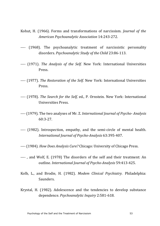- Kohut, H. (1966). Forms and transformations of narcissism. *Journal of the American Psychoanalytic Association* 14:243-272.
- ---- (1968). The psychoanalytic treatment of narcissistic personality disorders. *Psychoanalytic Study of the Child* 23:86-113.
- ---- (1971). *The Analysis of the Self.* New York: International Universities Press.
- ---- (1977). *The Restoration of the Self.* New York: International Universities Press.
- ---- (1978). *The Search for the Self, ed., P. Ornstein. New York: International* Universities Press.
- ---- (1979). The two analyses of Mr. Z. *International Journal of Psycho- Analysis* 60:3-27.
- ---- (1982). Introspection, empathy, and the semi-circle of mental health. *International Journal of Psycho-Analysis* 63:395-407.
- ---- (1984). *How Does Analysis Cure?* Chicago: University of Chicago Press.
- ----, and Wolf, E. (1978) The disorders of the self and their treatment: An outline. *International Journal of Psycho-Analysis* 59:413-425.
- Kolb, L., and Brodie, H. (1982). *Modem Clinical Psychiatry*. Philadelphia: Saunders.
- Krystal, H.  $(1982)$ . Adolescence and the tendencies to develop substance dependence. *Psychoanalytic Inquiry* 2:581-618.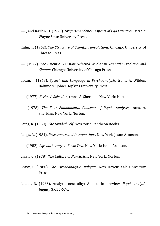- ---- . and Raskin, H. (1970). *Drug Dependence: Aspects of Ego Function*. Detroit: Wayne State University Press.
- Kuhn, T. (1962). *The Structure of Scientific Revolutions*. Chicago: University of Chicago Press.
- ---- (1977). *The Essential Tension: Selected Studies in Scientific Tradition and Change.* Chicago: University of Chicago Press.
- Lacan, J. (1968). *Speech and Language in Psychoanalysis*, trans. A. Wilden. Baltimore: Johns Hopkins University Press.
- ---- (1977). *Écrits: A Selection*, trans. A. Sheridan. New York: Norton.
- ---- (1978). *The Four Fundamental Concepts of Psycho-Analysis*, trans. A. Sheridan. New York: Norton.

Laing, R. (1960). *The Divided Self.* New York: Pantheon Books.

Langs, R. (1981). *Resistances and Interventions.* New York. Jason Aronson.

---- (1982). *Psychotherapy: A Basic Text.* New York: Jason Aronson.

Lasch, C. (1978). *The Culture of Narcissism*. New York: Norton.

- Leavy, S. (1980). *The Psychoanalytic Dialogue.* New Haven: Yale University Press.
- Leider, R. (1983). Analytic neutrality: A historical review. *Psychoanalytic Inquiry* 3:655-674.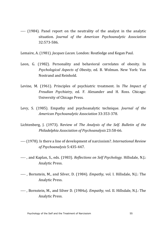---- (1984). Panel report on the neutrality of the analyst in the analytic situation. *Journal of the American Psychoanalytic Association* 32:573-586.

Lemaire, A. (1981). *Jacques Lacan.* London: Routledge and Kegan Paul.

- Leon, G. (1982). Personality and behavioral correlates of obesity. In *Psychological Aspects of Obesity, ed. B. Wolman. New York: Van* Nostrand and Reinhold.
- Levine, M. (1961). Principles of psychiatric treatment. In *The Impact of Freudian Psychiatry,* ed. F. Alexander and H. Ross. Chicago: University of Chicago Press.
- Levy, S. (1985). Empathy and psychoanalytic technique. *Journal of the American Psychoanalytic Association* 33:353-378.
- Lichtenberg, J. (1973). Review of *The Analysis of the Self. Bulletin of the Philadelphia Association of Psychoanalysis* 23:58-66.
- ---- (1978). Is there a line of development of narcissism?. *International Review of Psychoanalysis* 5:435-447.
- ----, and Kaplan, S., eds. (1983). *Reflections on Self Psychology*. Hillsdale, N.J.: Analytic Press.
- ----, Bornstein, M., and Silver, D. (1984). *Empathy*, vol. I. Hillsdale, N.J.: The Analytic Press.
- ----, Bornstein, M., and Silver D. (1984a). *Empathy*, vol. II. Hillsdale, N.J.: The Analytic Press.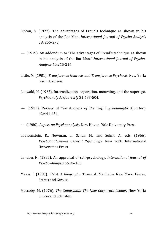- Lipton, S. (1977). The advantages of Freud's technique as shown in his analysis of the Rat Man. *International Journal of Psycho-Analysis* 58: 255-273.
- ---- (1979). An addendum to "The advantages of Freud's technique as shown in his analysis of the Rat Man." *International Journal of Psycho-Analysis* 60:215-216.
- Little, M. (1981). *Transference Neurosis and Transference Psychosis*. New York: Jason Aronson.
- Loewald, H. (1962). Internalization, separation, mourning, and the superego. *Psychoanalytic Quarterly* 31:483-504.
- ---- (1973). Review of *The Analysis of the Self. Psychoanalytic Quarterly* 42:441-451.
- ---- (1980). *Papers on Psychoanalysis*. New Haven: Yale University Press.
- Loewenstein, R., Newman, L., Schur, M., and Solnit, A., eds. (1966). *Psychoanalysis—A General Psychology.* New York: International Universities Press.
- London, N. (1985). An appraisal of self-psychology. *International Journal of Psycho-Analysis* 66:95-108.
- Maass, J. (1983). *Kleist: A Biography.* Trans. A. Manheim. New York: Farrar, Straus and Giroux.
- Maccoby, M. (1976). The Gamesman: The New Corporate Leader. New York: Simon and Schuster.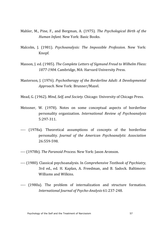- Mahler, M., Pine, F., and Bergman, A. (1975). *The Psychological Birth of the Human Infant.* New York: Basic Books.
- Malcolm, J. (1981). *Psychoanalysis: The Impossible Profession*. New York: Knopf.
- Masson, J. ed. (1985). *The Complete Letters of Sigmund Freud to Wilhelm Fliess:* 1877-1904. Cambridge, MA: Harvard University Press.
- Masterson, J. (1976). *Psychotherapy of the Borderline Adult: A Developmental* Approach. New York: Brunner/Mazel.
- Mead, G. (1962). *Mind, Self, and Society.* Chicago: University of Chicago Press.
- Meissner, W. (1978). Notes on some conceptual aspects of borderline personality organization. *International Review of Psychoanalysis* 5:297-311.
- ---- (1978a). Theoretical assumptions of concepts of the borderline personality. *Journal of the American Psychoanalytic Association* 26:559-598.
- ---- (1978b). *The Paranoid Process.* New York: Jason Aronson.
- ---- (1980). Classical psychoanalysis. In *Comprehensive Textbook of Psychiatry*, 3rd ed., ed. H. Kaplan, A. Freedman, and B. Sadock. Baltimore: Williams and Wilkins.
- ---- (1980a). The problem of internalization and structure formation. *International Journal of Psycho-Analysis* 61:237-248.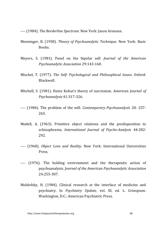---- (1984). *The Borderline Spectrum.* New York: Jason Aronson.

- Menninger, B. (1958). *Theory of Psychoanalytic Technique.* New York: Basic Books.
- Meyers, S. (1981). Panel on the bipolar self. *Journal of the American Psychoanalytic Association* 29:143-160.
- Mischel, T. (1977). *The Self: Psychological and Philosophical Issues.* Oxford: Blackwell.
- Mitchell, S. (1981). Heinz Kohut's theory of narcissism. *American Journal of Psychoanalysis* 41:317-326.
- ---- (1984). The problem of the will. *Contemporary Psychoanalysis* 20: 257-265.
- Modell, A. (1963). Primitive object relations and the predisposition to schizophrenia. *International Journal of Psycho-Analysis* 44:282- 292.
- ---- (1968). *Object Love and Reality*. New York: International Universities Press.
- ---- (1976). The holding environment and the therapeutic action of psychoanalysis. *Journal of the American Psychoanalytic Association* 24:255-307.
- Moldofsky, H. (1984). Clinical research at the interface of medicine and psychiatry. In *Psychiatry Update,* vol. Ill, ed. L. Grinspoon. Washington, D.C.: American Psychiatric Press.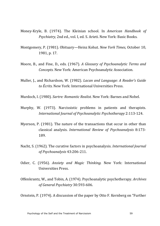- Money-Kryle, B. (1974). The Kleinian school. In *American Handbook of Psychiatry, 2nd ed., vol. I. ed. S. Arieti. New York: Basic Books.*
- Montgomery, P. (1981). Obituary—Heinz Kohut. *New York Times,* October 10, 1981. p. 17.
- Moore, B., and Fine, D., eds. (1967). *A Glossary of Psychoanalytic Terms and Concepts.* New York: American Psychoanalytic Association.
- Muller, J., and Richardson, W. (1982). *Lacan and Language: A Reader's Guide* to *Écrits*. New York: International Universities Press.
- Murdoch, I. (1980). *Sartre: Romantic Realist.* New York: Barnes and Nobel.
- Murphy, W. (1973). Narcissistic problems in patients and therapists. *International Journal of Psychoanalytic Psychotherapy* 2:113-124.
- Myerson, P.  $(1981)$ . The nature of the transactions that occur in other than classical analysis. *International Review of Psychoanalysis* 8:173- 189.
- Nacht, S. (1962). The curative factors in psychoanalysis. *International Journal of Psychoanalysis* 43:206-211.
- Odier, C. (1956). *Anxiety and Magic Thinking*. New York: International Universities Press.
- Offenkrantz, W., and Tobin, A. (1974). Psychoanalytic psychotherapy. *Archives of General Psychiatry* 30:593-606.

Ornstein, P. (1974). A discussion of the paper by Otto F. Kernberg on "Further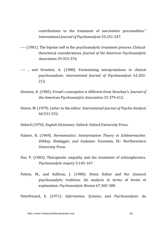contributions to the treatment of narcissistic personalities." *International Journal of Psychoanalysis* 55:241-247.

- ---- (1981). The bipolar self in the psychoanalytic treatment process: Clinicaltheoretical considerations. *Journal of the American Psychoanalytic Association* 29:353-376.
- ----, and Ornstein, A. (1980). Formulating interpretations in clinical psychoanalysis. *International Journal of Psychoanalysis* 61:203- 212.
- Ornston, D. (1985). Freud's conception is different from Strachey's. *Journal of the American Psychoanalytic Association* 33:379-412.
- Ostow, M. (1979). Letter to the editor. *International Journal of Psycho-Analysis* 60:531-532.
- Oxford (1970). *English Dictionary.* Oxford: Oxford University Press.
- Palmer, R. (1969). *Hermeneutics: Interpretation Theory in Schleiermacher. Dilthey, Heidegger, and Gadamer.* Evanston, Ill.: Northwestern University Press.
- Pao, P. (1983). Therapeutic empathy and the treatment of schizophrenics. *Psychoanalytic Inquiry* 3:145-167.
- Patton, M., and Sullivan, J. (1980). Heinz Kohut and the classical psychoanalytic tradition: An analysis in terms of levels of explanation. *Psychoanalytic Review* 67:365-388.

Peterfreund, E. (1971). *Information, Systems, and Psychoanalysis: An*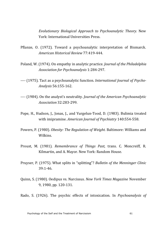*Evolutionary Biological Approach to Psychoanalytic Theory.* New York: International Hniversities Press.

- Pflanze, O. (1972). Toward a psychoanalytic interpretation of Bismarck. *American Historical Review* 77:419-444.
- Poland, W. (1974). On empathy in analytic practice. *Journal of the Philadelphia Association for Psychoanalysis* 1:284-297.
- ---- (1975). Tact as a psychoanalytic function. *International Journal of Psycho-Analysis* 56:155-162.
- ---- (1984). On the analyst's neutrality. *Journal of the American Psychoanalytic Association* 32:283-299.
- Pope, H., Hudson, J., Jonas, J., and Yurgelun-Tood, D. (1983). Bulimia treated with imipramine. *American Journal of Psychiatry* 140:554-558.
- Powers, P. (1980). *Obesity: The Regulation of Weight.* Baltimore: Williams and Wilkins.
- Proust, M. (1981). *Remembrance of Things Past*, trans. C. Moncreiff, R. Kilmartin, and A. Mayor. New York: Random House.
- Pruyser, P. (1975). What splits in "splitting"? *Bulletin of the Menninger Clinic* 39:1-46.
- Quinn, S. (1980). Oedipus vs. Narcissus. *New York Times Magazine* November 9, 1980, pp. 120-131.

Rado, S. (1926). The psychic effects of intoxication. In *Psychoanalysis of*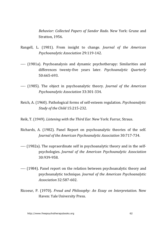*Behavior: Collected Papers of Sandor Rado.* New York: Grune and Stratton, 1956.

- Rangell, L. (1981). From insight to change. *Journal of the American Psychoanalytic Association* 29:119-142.
- ---- (1981a). Psychoanalysis and dynamic psychotherapy: Similarities and differences twenty-five years later. *Psychoanalytic Quarterly* 50:665-693.
- ---- (1985). The object in psychoanalytic theory. *Journal of the American Psychoanalytic Association* 33:301-334.
- Reich, A. (1960). Pathological forms of self-esteem regulation. *Psychoanalytic Study of the Child* 15:215-232.
- Reik, T. (1949). *Listening with the Third Ear.* New York: Farrar, Straus.
- Richards, A. (1982). Panel Report on psychoanalytic theories of the self. *Journal of the American Psychoanalytic Association 30:717-734.*
- ---- (1982a). The supraordinate self in psychoanalytic theory and in the selfpsychologies. *Journal of the American Psychoanalytic Association* 30:939-958.
- ---- (1984). Panel report on the relation between psychoanalytic theory and psychoanalytic technique. *Journal of the American Psychoanalytic Association* 32:587-602.
- Ricoeur, P. (1970). *Freud and Philosophy: An Essay on Interpretation*. New Haven: Yale University Press.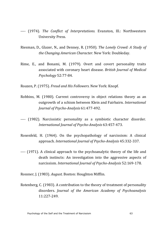- ---- (1974). *The Conflict of Interpretations.* Evanston, Ill.: Northwestern University Press.
- Riesman, D., Glazer, N., and Denney, R. (1950). *The Lonely Crowd: A Study of the Changing American Character.* New York: Doubleday.
- Rime, E., and Bonami, M. (1979). Overt and covert personality traits associated with coronary heart disease. *British Journal of Medical Psychology* 52:77-84.

Roazen, P. (1975). *Freud and His Followers*. New York: Knopf.

- Robbins, M. (1980). Current controversy in object relations theory as an outgrowth of a schism between Klein and Fairbairn. *International Journal of Psycho-Analysis* 61:477-492.
- ---- (1982). Narcissistic personality as a symbiotic character disorder. *International Journal of Psycho-Analysis* 63:457-473.
- Rosenfeld, H.  $(1964)$ . On the psychopathology of narcissism: A clinical approach. *International Journal of Psycho-Analysis* 45:332-337.
- ---- (1971). A clinical approach to the psychoanalytic theory of the life and death instincts: An investigation into the aggressive aspects of narcissism. *International Journal of Psycho-Analysis* 52:169-178.

Rossner, J. (1983). *August.* Boston: Houghton Mifflin.

Rotenberg, C. (1983). A contribution to the theory of treatment of personality disorders. *Journal of the American Academy of Psychoanalysis* 11:227-249.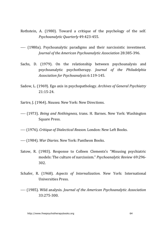- Rothstein, A.  $(1980)$ . Toward a critique of the psychology of the self. *Psychoanalytic Quarterly* 49:423-455.
- ---- (1980a). Psychoanalytic paradigms and their narcissistic investment. *Journal of the American Psychoanalytic Association* 28:385-396.
- Sachs, D. (1979). On the relationship between psychoanalysis and psychoanalytic psychotherapy. *Journal of the Philadelphia Association for Psychoanalysis* 6:119-145.
- Sadow, L. (1969). Ego axis in psychopathology. *Archives of General Psychiatry*  $21.15 - 24$
- Sartre, J. (1964). *Nausea*. New York: New Directions.
- ---- (1973). *Being and Nothingness,* trans. H. Barnes. New York: Washington Square Press.
- ---- (1976). *Critique of Dialectical Reason.* London: New Left Books.
- ---- (1984). *War Diaries.* New York: Pantheon Books.
- Satow, R. (1983). Response to Colleen Clements's "Misusing psychiatric models: The culture of narcissism." *Psychoanalytic Review* 69:296-302.
- Schafer, R. (1968). *Aspects of Internalization*. New York: International Universities Press.
- ---- (1985). Wild analysis. *Journal of the American Psychoanalytic Association* 33:275-300.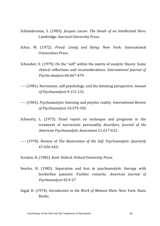- Schneiderman, S. (1983). *Jacques Lacan: The Death of an Intellectual Hero.* Cambridge: Harvard University Press.
- Schur, M. (1972). *Freud: Living and Dying.* New York: International Universities Press.
- Schwaber, E. (1979). On the "self" within the matrix of analytic theory. Some clinical reflections and reconsiderations. *International Journal of Psycho-Analysis* 60:467-479.
- ---- (1981). Narcissism, self-psychology, and the listening perspective. *Annual of Psychoanalysis* 9:115-131.
- ---- (1983). Psychoanalytic listening and psychic reality. *International Review of Psychoanalysis* 10:379-392.
- Schwartz, L. (1973). Panel report on technique and prognosis in the treatment of narcissistic personality disorders. *Journal of the American Psychoanalytic Association* 21:617-632.
- ---- (1978). Review of *The Restoration of the Self. Psychoanalytic Quarterly* 47:436-443.
- Scruton, R. (1982). *Kant.* Oxford: Oxford University Press.
- Searles, H. (1985). Separation and loss in psychoanalytic therapy with borderline patients: Further remarks. *American Journal of Psychoanalysis* 45:9-27.
- Segal, H. (1974). *Introduction to the Work of Melanie Klein*. New York: Basic Books.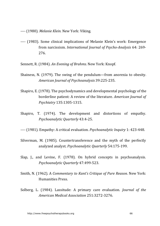---- (1980). *Melanie Klein.* New York: Viking.

- ---- (1983). Some clinical implications of Melanie Klein's work: Emergence from narcissism. *International Journal of Psycho-Analysis* 64: 269-276.
- Sennett, R. (1984). *An Evening of Brahms.* New York: Knopf.
- Shainess, N.  $(1979)$ . The swing of the pendulum—from anorexia to obesity. *American Journal of Psychoanalysis* 39:225-235.
- Shapiro, E. (1978). The psychodynamics and developmental psychology of the borderline patient: A review of the literature. *American Journal of Psychiatry* 135:1305-1315.
- Shapiro, T. (1974). The development and distortions of empathy. *Psychoanalytic Quarterly* 43:4-25.
- ---- (1981). Empathy: A critical evaluation. *Psychoanalytic Inquiry* 1: 423-448.
- Silverman, M.  $(1985)$ . Countertransference and the myth of the perfectly analyzed analyst. Psychoanalytic Quarterly 54:175-199.
- Slap,  $I_{\text{u}}$ , and Levine, F. (1978). On hybrid concepts in psychoanalysis. *Psychoanalytic Quarterly* 47:499-523.
- Smith, N. (1962). A *Commentary to Kant's Critique of Pure Reason*. New York: Humanities Press.
- Solberg, L. (1984). Lassitude: A primary care evaluation. *Journal of the American Medical Association* 251:3272-3276.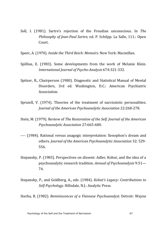- Soll, I. (1981). Sartre's rejection of the Freudian unconscious. In *The Philosophy of Jean-Paul Sartre, ed. P. Schilpp. La Salle, 111.: Open* Court.
- Speer, A. (1970). *Inside the Third Reich: Memoirs.* New York: Macmillan.
- Spillius, E. (1983). Some developments from the work of Melanie Klein. *International Journal of Psycho-Analysis* 674:321-332.
- Spitzer, R., Chairperson (1980). Diagnostic and Statistical Manual of Mental Disorders, 3rd ed. Washington, D.C.: American Psychiatric Association.
- Spruiell, V. (1974). Theories of the treatment of narcissistic personalities. *Journal of the American Psychoanalytic Association* 22:268-278.
- Stein, M. (1979). Review of *The Restoration of the Self. Journal of the American Psychoanalytic Association* 27:665-680.
- ---- (1984). Rational versus anagogic interpretation: Xenophon's dream and others. *Journal of the American Psychoanalytic Association* 32: 529-556.
- Stepansky, P. (1983). Perspectives on dissent: Adler, Kohut, and the idea of a psychoanalytic research tradition. Annual of Psychoanalysis 9:51— 74.
- Stepansky, P., and Goldberg, A., eds. (1984). *Kohut's Legacy: Contributions to* Self-Psychology. Hillsdale, N.J.: Analytic Press.

Sterba, R. (1982). *Reminiscences of a Viennese Psychoanalyst.* Detroit: Wayne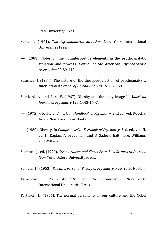State University Press.

- Stone, L. (1961). *The Psychoanalytic Situation*. New York: International Universities Press.
- ---- (1981). Notes on the noninterpretive elements in the psychoanalytic situation and process. *Journal of the American Psychoanalytic Association* 29:89-118.
- Strachey, J. (1934). The nature of the therapeutic action of psychoanalysis. *International Journal of Psycho-Analysis* 15:127-159.
- Stunkard, A., and Burt, V. (1967). Obesity and the body image II. *American Journal of Psychiatry* 123:1443-1447.
- ---- (1975). Obesity. *In American Handbook of Psychiatry*, 2nd ed., vol. IV, ed. S. Arieti. New York: Basic Books.
- ---- (1980). Obesity. In *Comprehensive Textbook of Psychiatry*, 3rd. ed., vol. II, ed. H. Kaplan, A. Freedman, and B. Sadock. Baltimore: Williams and Wilkins.
- Sturrock, J., ed. (1979). *Structuralism and Since: From Levi Strauss to Derrida.* New York: Oxford University Press.

Sullivan, H. (1953). *The Interpersonal Theory of Psychiatry*. New York: Norton.

Tarachow, S. (1963). An Introduction to Psychotherapy. New York: International Universities Press.

Tartakoff, H. (1966). The normal personality in our culture and the Nobel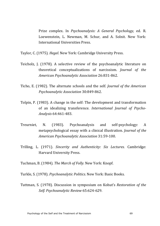Prize complex. In *Psychoanalysis: A General Psychology*, ed. R. Loewenstein, L. Newman, M. Schur, and A. Solnit. New York: International IIniversities Press.

Taylor, C. (1975). *Hegel.* New York: Cambridge University Press.

- Teicholz, J.  $(1978)$ . A selective review of the psychoanalytic literature on theoretical conceptualizations of narcissism. *Journal of the American Psychoanalytic Association* 26:831-862.
- Ticho, E. (1982). The alternate schools and the self. *Journal of the American Psychoanalytic Association* 30:849-862.
- Tolpin, P. (1983). A change in the self: The development and transformation of an idealizing transference. *International Journal of Psycho-Analysis* 64:461-483.
- Treurniet, N. (1983). Psychoanalysis and self-psychology: A metapsychological essay with a clinical illustration. *Journal of the American Psychoanalytic Association* 31:59-100.
- Trilling, L. (1971). *Sincerity and Authenticity: Six Lectures.* Cambridge: Harvard University Press.

Tuchman, B. (1984). *The March of Folly.* New York: Knopf.

Turkle, S. (1978). *Psychoanalytic Politics*. New York: Basic Books.

Tuttman, S. (1978). Discussion in symposium on Kohut's *Restoration of the Self. Psychoanalytic Review* 65:624-629.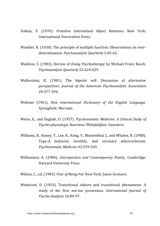- Volkan, V. (1976). *Primitive Internalized Object Relations*. New York: International Universities Press.
- Waelder, R. (1930). The principle of multiple function: Observations on overdetermination. *Psychoanalytic Ouarterly* 5:45-62.
- Waldron, S. (1983). Review of *Doing Psychotherapy* by Michael Franz Basch. *Psychoanalytic Quarterly* 52:624-629.
- Wallerstein, R. (1981). The bipolar self: Discussion of alternative perspectives. *Journal of the American Psychoanalytic Association* 29:377-394.
- Webster (1961). *New International Dictionary of the English Language.* Springfield: Merriam.
- Weiss, E., and English, O. (1957). *Psychosomatic Medicine: A Clinical Study of Psycho-physiologic Reactions.* Philadelphia: Saunders.
- Williams, R., Haney, T., Lee, K., Kong, Y., Blumenthal, J., and Whalen, R. (1980). Type-A behavior, hostility, and coronary atherosclerosis. *Psychosomatic Medicine* 42:539-549.
- Williamson, A. (1984). *Introspection and Contemporary Poetry.* Cambridge: Harvard University Press.
- Wilson, C., ed. (1983). *Fear of Being Fat.* New York: Jason Aronson.
- Winnicott, D. (1953). Transitional objects and transitional phenomena: A study of the first not-me possession. *International Journal of Psycho-Analysis* 34:89-97.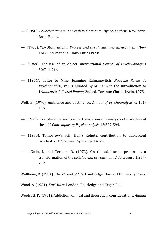- ---- (1958). *Collected Papers: Through Pediatrics to Psycho-Analysis*. New York: Basic Books.
- ---- (1965). *The Maturational Process and the Facilitating Environment.* New York: International Universities Press.
- ---- (1969). The use of an object. *International Journal of Psycho-Analysis* 50:711-716.
- ---- (1971). Letter to Mme. Jeannine Kalmanovitch. *Nouvelle Revue de Psychoanalyse,* vol. 3. Ouoted by M. Kahn in the Introduction to *Winnicott's Collected Papers, 2nd ed. Toronto: Clarke, Irwin, 1975.*
- Wolf, E. (1976). Ambience and abstinence. *Annual of Psychoanalysis* 4: 101-115.
- ---- (1979). Transference and countertransference in analysis of disorders of the self. *Contemporary Psychoanalysis* 15:577-594.
- ---- (1980). Tomorrow's self: Heinz Kohut's contribution to adolescent psychiatry. *Adolescent Psychiatry* 8:41-50.
- ----, Gedo, I., and Terman, D. (1972). On the adolescent process as a transformation of the self. *Journal of Youth and Adolescence* 1:257-272.

Wollheim, R. (1984). *The Thread of Life.* Cambridge: Harvard University Press.

Wood, A. (1981). *Karl Marx.* London: Routledge and Kegan Paul.

Woolcott, P. (1981). Addiction: Clinical and theoretical considerations. *Annual*